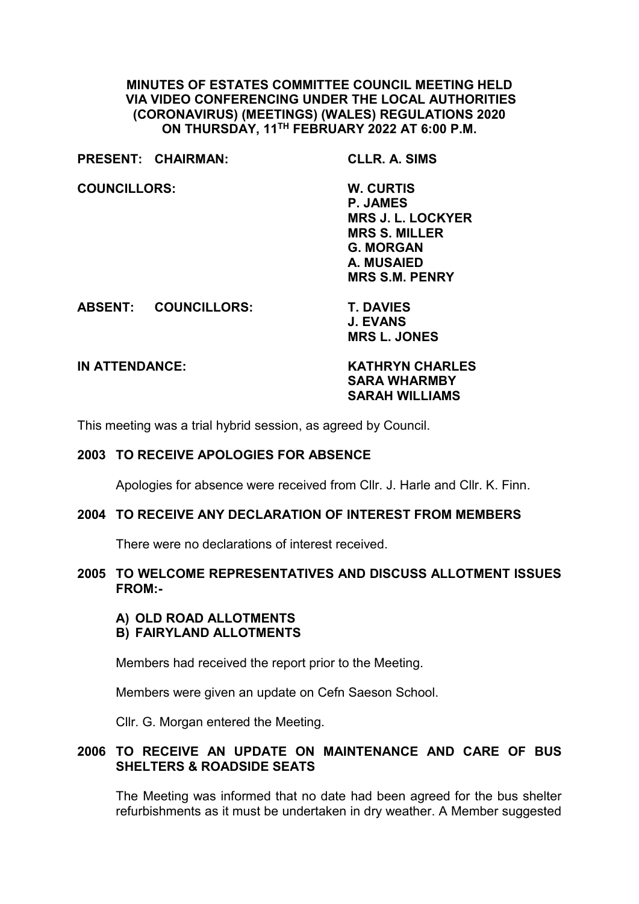### **MINUTES OF ESTATES COMMITTEE COUNCIL MEETING HELD VIA VIDEO CONFERENCING UNDER THE LOCAL AUTHORITIES (CORONAVIRUS) (MEETINGS) (WALES) REGULATIONS 2020 ON THURSDAY, 11TH FEBRUARY 2022 AT 6:00 P.M.**

|                     | PRESENT: CHAIRMAN:          | <b>CLLR. A. SIMS</b>     |
|---------------------|-----------------------------|--------------------------|
| <b>COUNCILLORS:</b> |                             | W. CURTIS                |
|                     |                             | <b>P. JAMES</b>          |
|                     |                             | <b>MRS J. L. LOCKYER</b> |
|                     |                             | <b>MRS S. MILLER</b>     |
|                     |                             | <b>G. MORGAN</b>         |
|                     |                             | A. MUSAIED               |
|                     |                             | <b>MRS S.M. PENRY</b>    |
|                     | <b>ABSENT: COUNCILLORS:</b> | <b>T. DAVIES</b>         |
|                     |                             | <b>J. EVANS</b>          |
|                     |                             | <b>MRS L. JONES</b>      |

**IN ATTENDANCE: KATHRYN CHARLES SARA WHARMBY SARAH WILLIAMS**

This meeting was a trial hybrid session, as agreed by Council.

#### **2003 TO RECEIVE APOLOGIES FOR ABSENCE**

Apologies for absence were received from Cllr. J. Harle and Cllr. K. Finn.

#### **2004 TO RECEIVE ANY DECLARATION OF INTEREST FROM MEMBERS**

There were no declarations of interest received.

### **2005 TO WELCOME REPRESENTATIVES AND DISCUSS ALLOTMENT ISSUES FROM:-**

#### **A) OLD ROAD ALLOTMENTS B) FAIRYLAND ALLOTMENTS**

Members had received the report prior to the Meeting.

Members were given an update on Cefn Saeson School.

Cllr. G. Morgan entered the Meeting.

## **2006 TO RECEIVE AN UPDATE ON MAINTENANCE AND CARE OF BUS SHELTERS & ROADSIDE SEATS**

The Meeting was informed that no date had been agreed for the bus shelter refurbishments as it must be undertaken in dry weather. A Member suggested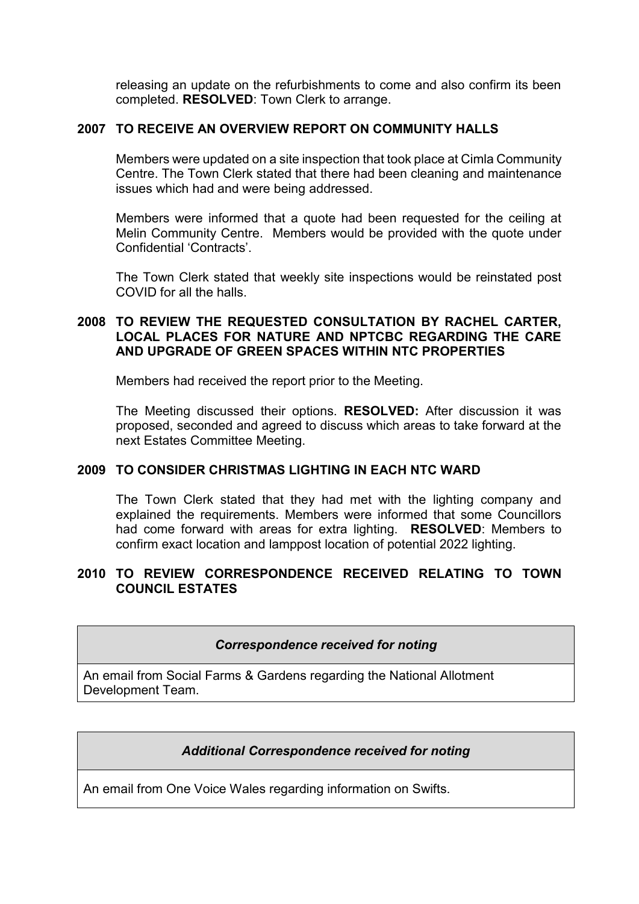releasing an update on the refurbishments to come and also confirm its been completed. **RESOLVED**: Town Clerk to arrange.

## **2007 TO RECEIVE AN OVERVIEW REPORT ON COMMUNITY HALLS**

Members were updated on a site inspection that took place at Cimla Community Centre. The Town Clerk stated that there had been cleaning and maintenance issues which had and were being addressed.

Members were informed that a quote had been requested for the ceiling at Melin Community Centre. Members would be provided with the quote under Confidential 'Contracts'.

The Town Clerk stated that weekly site inspections would be reinstated post COVID for all the halls.

### **2008 TO REVIEW THE REQUESTED CONSULTATION BY RACHEL CARTER, LOCAL PLACES FOR NATURE AND NPTCBC REGARDING THE CARE AND UPGRADE OF GREEN SPACES WITHIN NTC PROPERTIES**

Members had received the report prior to the Meeting.

The Meeting discussed their options. **RESOLVED:** After discussion it was proposed, seconded and agreed to discuss which areas to take forward at the next Estates Committee Meeting.

## **2009 TO CONSIDER CHRISTMAS LIGHTING IN EACH NTC WARD**

The Town Clerk stated that they had met with the lighting company and explained the requirements. Members were informed that some Councillors had come forward with areas for extra lighting. **RESOLVED**: Members to confirm exact location and lamppost location of potential 2022 lighting.

# **2010 TO REVIEW CORRESPONDENCE RECEIVED RELATING TO TOWN COUNCIL ESTATES**

*Correspondence received for noting*

An email from Social Farms & Gardens regarding the National Allotment Development Team.

## *Additional Correspondence received for noting*

An email from One Voice Wales regarding information on Swifts.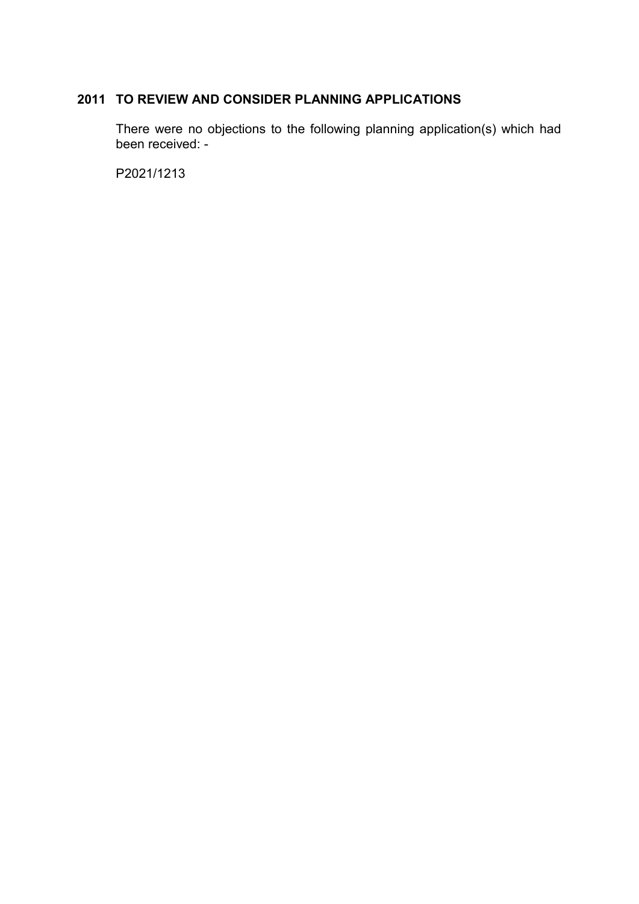# **2011 TO REVIEW AND CONSIDER PLANNING APPLICATIONS**

There were no objections to the following planning application(s) which had been received: -

P2021/1213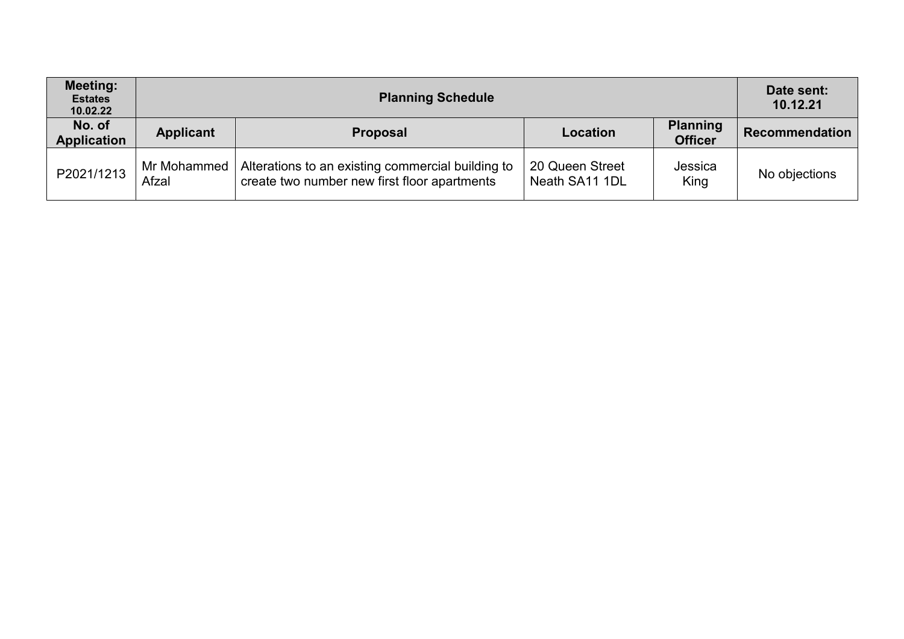| <b>Meeting:</b><br><b>Estates</b><br>10.02.22 |                      | Date sent:<br>10.12.21                                                                            |                                   |                                   |                       |
|-----------------------------------------------|----------------------|---------------------------------------------------------------------------------------------------|-----------------------------------|-----------------------------------|-----------------------|
| No. of<br><b>Application</b>                  | <b>Applicant</b>     | <b>Proposal</b>                                                                                   | Location                          | <b>Planning</b><br><b>Officer</b> | <b>Recommendation</b> |
| P2021/1213                                    | Mr Mohammed<br>Afzal | Alterations to an existing commercial building to<br>create two number new first floor apartments | 20 Queen Street<br>Neath SA11 1DL | Jessica<br>King                   | No objections         |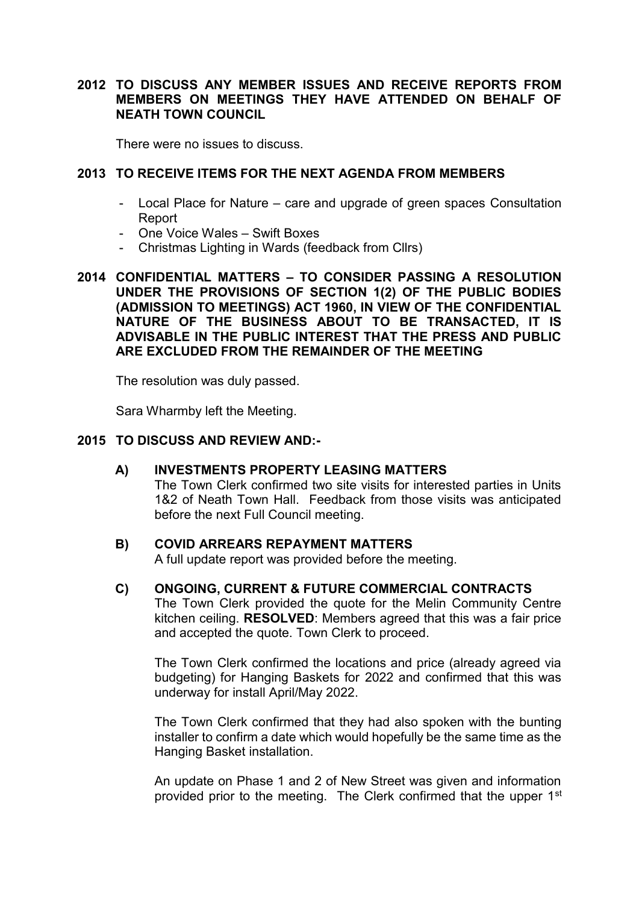# **2012 TO DISCUSS ANY MEMBER ISSUES AND RECEIVE REPORTS FROM MEMBERS ON MEETINGS THEY HAVE ATTENDED ON BEHALF OF NEATH TOWN COUNCIL**

There were no issues to discuss.

## **2013 TO RECEIVE ITEMS FOR THE NEXT AGENDA FROM MEMBERS**

- Local Place for Nature care and upgrade of green spaces Consultation Report
- One Voice Wales Swift Boxes
- Christmas Lighting in Wards (feedback from Cllrs)
- **2014 CONFIDENTIAL MATTERS – TO CONSIDER PASSING A RESOLUTION UNDER THE PROVISIONS OF SECTION 1(2) OF THE PUBLIC BODIES (ADMISSION TO MEETINGS) ACT 1960, IN VIEW OF THE CONFIDENTIAL NATURE OF THE BUSINESS ABOUT TO BE TRANSACTED, IT IS ADVISABLE IN THE PUBLIC INTEREST THAT THE PRESS AND PUBLIC ARE EXCLUDED FROM THE REMAINDER OF THE MEETING**

The resolution was duly passed.

Sara Wharmby left the Meeting.

#### **2015 TO DISCUSS AND REVIEW AND:-**

**A) INVESTMENTS PROPERTY LEASING MATTERS** 

The Town Clerk confirmed two site visits for interested parties in Units 1&2 of Neath Town Hall. Feedback from those visits was anticipated before the next Full Council meeting.

#### **B) COVID ARREARS REPAYMENT MATTERS**

A full update report was provided before the meeting.

#### **C) ONGOING, CURRENT & FUTURE COMMERCIAL CONTRACTS**

The Town Clerk provided the quote for the Melin Community Centre kitchen ceiling. **RESOLVED**: Members agreed that this was a fair price and accepted the quote. Town Clerk to proceed.

The Town Clerk confirmed the locations and price (already agreed via budgeting) for Hanging Baskets for 2022 and confirmed that this was underway for install April/May 2022.

The Town Clerk confirmed that they had also spoken with the bunting installer to confirm a date which would hopefully be the same time as the Hanging Basket installation.

An update on Phase 1 and 2 of New Street was given and information provided prior to the meeting. The Clerk confirmed that the upper 1<sup>st</sup>